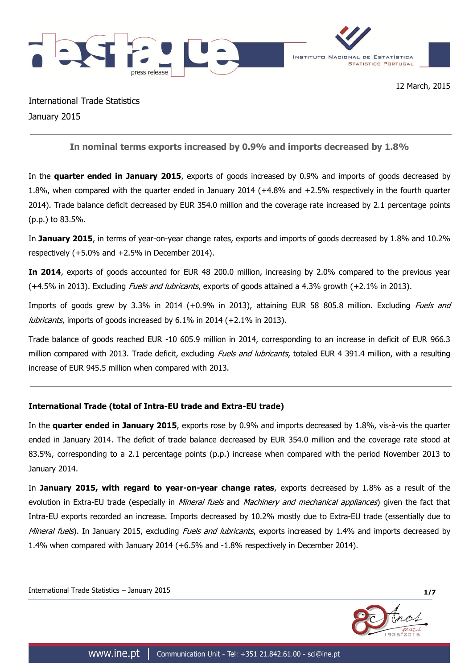

International Trade Statistics January 2015

**In nominal terms exports increased by 0.9% and imports decreased by 1.8%**

In the **quarter ended in January 2015**, exports of goods increased by 0.9% and imports of goods decreased by 1.8%, when compared with the quarter ended in January 2014 (+4.8% and +2.5% respectively in the fourth quarter 2014). Trade balance deficit decreased by EUR 354.0 million and the coverage rate increased by 2.1 percentage points (p.p.) to 83.5%.

In **January 2015**, in terms of year-on-year change rates, exports and imports of goods decreased by 1.8% and 10.2% respectively (+5.0% and +2.5% in December 2014).

**In 2014**, exports of goods accounted for EUR 48 200.0 million, increasing by 2.0% compared to the previous year (+4.5% in 2013). Excluding Fuels and lubricants, exports of goods attained a 4.3% growth (+2.1% in 2013).

Imports of goods grew by 3.3% in 2014 (+0.9% in 2013), attaining EUR 58 805.8 million. Excluding Fuels and lubricants, imports of goods increased by 6.1% in 2014 (+2.1% in 2013).

Trade balance of goods reached EUR -10 605.9 million in 2014, corresponding to an increase in deficit of EUR 966.3 million compared with 2013. Trade deficit, excluding *Fuels and lubricants*, totaled EUR 4 391.4 million, with a resulting increase of EUR 945.5 million when compared with 2013.

# **International Trade (total of Intra-EU trade and Extra-EU trade)**

In the **quarter ended in January 2015**, exports rose by 0.9% and imports decreased by 1.8%, vis-à-vis the quarter ended in January 2014. The deficit of trade balance decreased by EUR 354.0 million and the coverage rate stood at 83.5%, corresponding to a 2.1 percentage points (p.p.) increase when compared with the period November 2013 to January 2014.

In **January 2015, with regard to year-on-year change rates**, exports decreased by 1.8% as a result of the evolution in Extra-EU trade (especially in *Mineral fuels* and *Machinery and mechanical appliances*) given the fact that Intra-EU exports recorded an increase. Imports decreased by 10.2% mostly due to Extra-EU trade (essentially due to Mineral fuels). In January 2015, excluding Fuels and lubricants, exports increased by 1.4% and imports decreased by 1.4% when compared with January 2014 (+6.5% and -1.8% respectively in December 2014).

International Trade Statistics – January 2015 **1/7**

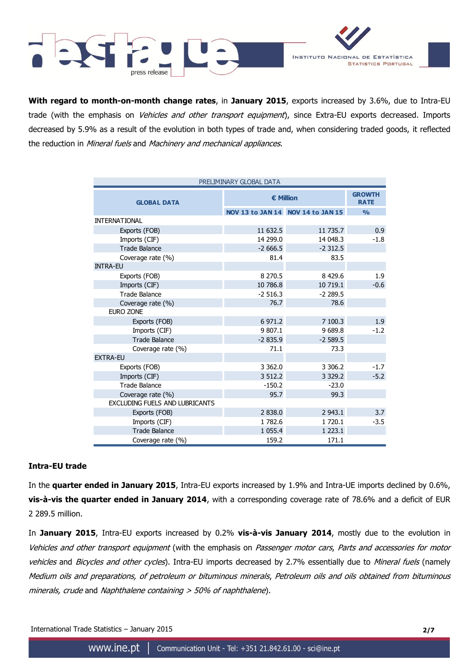

**With regard to month-on-month change rates**, in **January 2015**, exports increased by 3.6%, due to Intra-EU trade (with the emphasis on *Vehicles and other transport equipment*), since Extra-EU exports decreased. Imports decreased by 5.9% as a result of the evolution in both types of trade and, when considering traded goods, it reflected the reduction in Mineral fuels and Machinery and mechanical appliances.

| PRELIMINARY GLOBAL DATA               |                  |                                   |               |  |  |  |
|---------------------------------------|------------------|-----------------------------------|---------------|--|--|--|
| <b>GLOBAL DATA</b>                    | <b>€ Million</b> | <b>GROWTH</b><br><b>RATE</b>      |               |  |  |  |
|                                       |                  | NOV 13 to JAN 14 NOV 14 to JAN 15 | $\frac{0}{0}$ |  |  |  |
| <b>INTERNATIONAL</b>                  |                  |                                   |               |  |  |  |
| Exports (FOB)                         | 11 632.5         | 11 735.7                          | 0.9           |  |  |  |
| Imports (CIF)                         | 14 299.0         | 14 048.3                          | $-1.8$        |  |  |  |
| <b>Trade Balance</b>                  | $-2666.5$        | $-2312.5$                         |               |  |  |  |
| Coverage rate (%)                     | 81.4             | 83.5                              |               |  |  |  |
| <b>INTRA-EU</b>                       |                  |                                   |               |  |  |  |
| Exports (FOB)                         | 8 2 7 0.5        | 8 4 2 9 . 6                       | 1.9           |  |  |  |
| Imports (CIF)                         | 10 786.8         | 10 719.1                          | $-0.6$        |  |  |  |
| <b>Trade Balance</b>                  | $-2516.3$        | $-2289.5$                         |               |  |  |  |
| Coverage rate (%)                     | 76.7             | 78.6                              |               |  |  |  |
| <b>EURO ZONE</b>                      |                  |                                   |               |  |  |  |
| Exports (FOB)                         | 6 971.2          | 7 100.3                           | 1.9           |  |  |  |
| Imports (CIF)                         | 9 807.1          | 9689.8                            | $-1.2$        |  |  |  |
| <b>Trade Balance</b>                  | $-2835.9$        | $-2589.5$                         |               |  |  |  |
| Coverage rate (%)                     | 71.1             | 73.3                              |               |  |  |  |
| <b>EXTRA-EU</b>                       |                  |                                   |               |  |  |  |
| Exports (FOB)                         | 3 3 6 2.0        | 3 3 0 6.2                         | $-1.7$        |  |  |  |
| Imports (CIF)                         | 3 5 1 2.2        | 3 3 2 9 . 2                       | $-5.2$        |  |  |  |
| <b>Trade Balance</b>                  | $-150.2$         | $-23.0$                           |               |  |  |  |
| Coverage rate (%)                     | 95.7             | 99.3                              |               |  |  |  |
| <b>EXCLUDING FUELS AND LUBRICANTS</b> |                  |                                   |               |  |  |  |
| Exports (FOB)                         | 2838.0           | 2 943.1                           | 3.7           |  |  |  |
| Imports (CIF)                         | 1782.6           | 1 720.1                           | $-3.5$        |  |  |  |
| <b>Trade Balance</b>                  | 1 0 5 5.4        | 1 2 2 3 . 1                       |               |  |  |  |
| Coverage rate (%)                     | 159.2            | 171.1                             |               |  |  |  |

## **Intra-EU trade**

In the **quarter ended in January 2015**, Intra-EU exports increased by 1.9% and Intra-UE imports declined by 0.6%, **vis-à-vis the quarter ended in January 2014**, with a corresponding coverage rate of 78.6% and a deficit of EUR 2 289.5 million.

In **January 2015**, Intra-EU exports increased by 0.2% **vis-à-vis January 2014**, mostly due to the evolution in Vehicles and other transport equipment (with the emphasis on Passenger motor cars, Parts and accessories for motor vehicles and Bicycles and other cycles). Intra-EU imports decreased by 2.7% essentially due to Mineral fuels (namely Medium oils and preparations, of petroleum or bituminous minerals, Petroleum oils and oils obtained from bituminous minerals, crude and Naphthalene containing > 50% of naphthalene).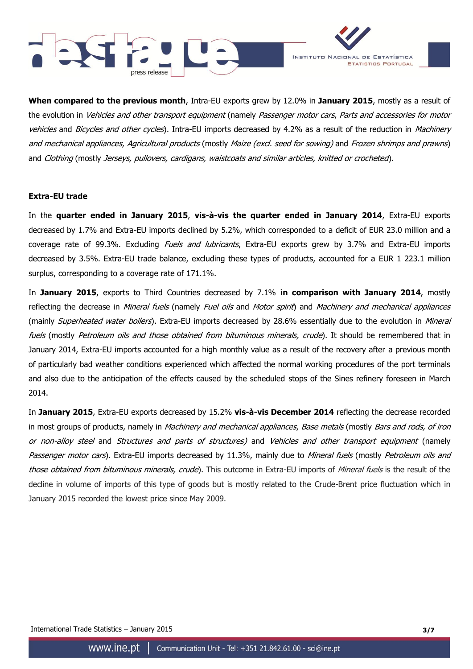



**When compared to the previous month**, Intra-EU exports grew by 12.0% in **January 2015**, mostly as a result of the evolution in Vehicles and other transport equipment (namely Passenger motor cars, Parts and accessories for motor vehicles and Bicycles and other cycles). Intra-EU imports decreased by 4.2% as a result of the reduction in Machinery and mechanical appliances, Agricultural products (mostly Maize (excl. seed for sowing) and Frozen shrimps and prawns) and Clothing (mostly Jerseys, pullovers, cardigans, waistcoats and similar articles, knitted or crocheted).

### **Extra-EU trade**

In the **quarter ended in January 2015**, **vis-à-vis the quarter ended in January 2014**, Extra-EU exports decreased by 1.7% and Extra-EU imports declined by 5.2%, which corresponded to a deficit of EUR 23.0 million and a coverage rate of 99.3%. Excluding *Fuels and lubricants*, Extra-EU exports grew by 3.7% and Extra-EU imports decreased by 3.5%. Extra-EU trade balance, excluding these types of products, accounted for a EUR 1 223.1 million surplus, corresponding to a coverage rate of 171.1%.

In **January 2015**, exports to Third Countries decreased by 7.1% **in comparison with January 2014**, mostly reflecting the decrease in Mineral fuels (namely Fuel oils and Motor spirit) and Machinery and mechanical appliances (mainly *Superheated water boilers*). Extra-EU imports decreased by 28.6% essentially due to the evolution in *Mineral* fuels (mostly Petroleum oils and those obtained from bituminous minerals, crude). It should be remembered that in January 2014, Extra-EU imports accounted for a high monthly value as a result of the recovery after a previous month of particularly bad weather conditions experienced which affected the normal working procedures of the port terminals and also due to the anticipation of the effects caused by the scheduled stops of the Sines refinery foreseen in March 2014.

In **January 2015**, Extra-EU exports decreased by 15.2% **vis-à-vis December 2014** reflecting the decrease recorded in most groups of products, namely in *Machinery and mechanical appliances, Base metals* (mostly *Bars and rods, of iron* or non-alloy steel and Structures and parts of structures) and Vehicles and other transport equipment (namely Passenger motor cars). Extra-EU imports decreased by 11.3%, mainly due to Mineral fuels (mostly Petroleum oils and those obtained from bituminous minerals, crude). This outcome in Extra-EU imports of Mineral fuels is the result of the decline in volume of imports of this type of goods but is mostly related to the Crude-Brent price fluctuation which in January 2015 recorded the lowest price since May 2009.

International Trade Statistics – January 2015 **3/7**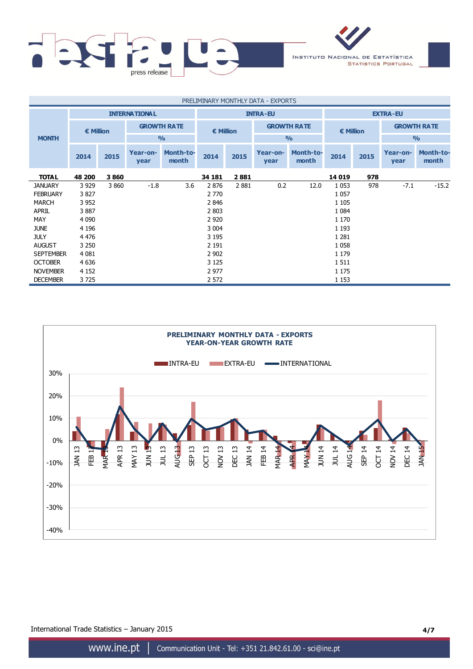

| PRELIMINARY MONTHLY DATA - EXPORTS |                    |         |                      |                           |                 |                                          |                  |                           |                    |      |                  |                           |
|------------------------------------|--------------------|---------|----------------------|---------------------------|-----------------|------------------------------------------|------------------|---------------------------|--------------------|------|------------------|---------------------------|
|                                    |                    |         | <b>INTERNATIONAL</b> |                           | <b>INTRA-EU</b> |                                          |                  | <b>EXTRA-EU</b>           |                    |      |                  |                           |
|                                    | $\epsilon$ Million |         | <b>GROWTH RATE</b>   |                           |                 | <b>GROWTH RATE</b><br>$\epsilon$ Million |                  |                           | $\epsilon$ Million |      |                  | <b>GROWTH RATE</b>        |
| <b>MONTH</b>                       |                    |         |                      | O/2                       |                 |                                          |                  | O/2                       |                    |      | $\frac{0}{0}$    |                           |
|                                    | 2014               | 2015    | Year-on-<br>year     | <b>Month-to-</b><br>month | 2014            | 2015                                     | Year-on-<br>year | <b>Month-to-</b><br>month | 2014               | 2015 | Year-on-<br>year | <b>Month-to-</b><br>month |
| <b>TOTAL</b>                       | 48 200             | 3860    |                      |                           | 34 181          | 2881                                     |                  |                           | 14 019             | 978  |                  |                           |
| <b>JANUARY</b>                     | 3 9 2 9            | 3 8 6 0 | $-1.8$               | 3.6                       | 2876            | 2881                                     | 0.2              | 12.0                      | 1 0 5 3            | 978  | $-7.1$           | $-15.2$                   |
| <b>FEBRUARY</b>                    | 3827               |         |                      |                           | 2 770           |                                          |                  |                           | 1 0 5 7            |      |                  |                           |
| <b>MARCH</b>                       | 3 9 5 2            |         |                      |                           | 2846            |                                          |                  |                           | 1 1 0 5            |      |                  |                           |
| <b>APRIL</b>                       | 3887               |         |                      |                           | 2 8 0 3         |                                          |                  |                           | 1 0 8 4            |      |                  |                           |
| MAY                                | 4 0 9 0            |         |                      |                           | 2 9 2 0         |                                          |                  |                           | 1 1 7 0            |      |                  |                           |
| <b>JUNE</b>                        | 4 1 9 6            |         |                      |                           | 3 0 0 4         |                                          |                  |                           | 1 1 9 3            |      |                  |                           |
| <b>JULY</b>                        | 4 4 7 6            |         |                      |                           | 3 1 9 5         |                                          |                  |                           | 1 2 8 1            |      |                  |                           |
| <b>AUGUST</b>                      | 3 2 5 0            |         |                      |                           | 2 1 9 1         |                                          |                  |                           | 1 0 5 8            |      |                  |                           |
| <b>SEPTEMBER</b>                   | 4 0 8 1            |         |                      |                           | 2 9 0 2         |                                          |                  |                           | 1 1 7 9            |      |                  |                           |
| <b>OCTOBER</b>                     | 4 6 3 6            |         |                      |                           | 3 1 2 5         |                                          |                  |                           | 1511               |      |                  |                           |
| <b>NOVEMBER</b>                    | 4 1 5 2            |         |                      |                           | 2 9 7 7         |                                          |                  |                           | 1 1 7 5            |      |                  |                           |
| <b>DECEMBER</b>                    | 3725               |         |                      |                           | 2 5 7 2         |                                          |                  |                           | 1 1 5 3            |      |                  |                           |



International Trade Statistics – January 2015 **4/7**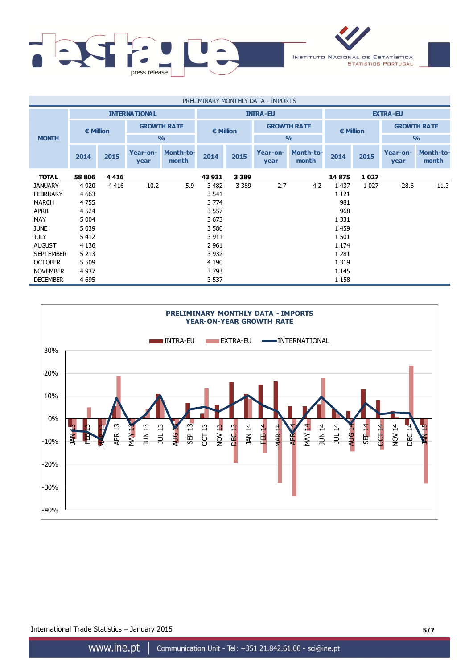

| PRELIMINARY MONTHLY DATA - IMPORTS |           |         |                      |                           |                 |                                          |                  |                           |                 |         |                    |                           |  |                    |
|------------------------------------|-----------|---------|----------------------|---------------------------|-----------------|------------------------------------------|------------------|---------------------------|-----------------|---------|--------------------|---------------------------|--|--------------------|
|                                    |           |         | <b>INTERNATIONAL</b> |                           | <b>INTRA-EU</b> |                                          |                  |                           | <b>EXTRA-EU</b> |         |                    |                           |  |                    |
|                                    | € Million |         |                      | <b>GROWTH RATE</b>        |                 | <b>GROWTH RATE</b><br>$\epsilon$ Million |                  |                           |                 |         | $\epsilon$ Million |                           |  | <b>GROWTH RATE</b> |
| <b>MONTH</b>                       |           |         |                      | $\frac{0}{0}$             |                 |                                          |                  | $\frac{0}{0}$             |                 |         | O <sub>0</sub>     |                           |  |                    |
|                                    | 2014      | 2015    | Year-on-<br>year     | <b>Month-to-</b><br>month | 2014            | 2015                                     | Year-on-<br>year | <b>Month-to-</b><br>month | 2014            | 2015    | Year-on-<br>year   | <b>Month-to-</b><br>month |  |                    |
| <b>TOTAL</b>                       | 58 806    | 4416    |                      |                           | 43 931          | 3 3 8 9                                  |                  |                           | 14 875          | 1027    |                    |                           |  |                    |
| <b>JANUARY</b>                     | 4 9 20    | 4 4 1 6 | $-10.2$              | $-5.9$                    | 3 4 8 2         | 3 3 8 9                                  | $-2.7$           | $-4.2$                    | 1 4 3 7         | 1 0 2 7 | $-28.6$            | $-11.3$                   |  |                    |
| <b>FEBRUARY</b>                    | 4 6 63    |         |                      |                           | 3 541           |                                          |                  |                           | 1 1 2 1         |         |                    |                           |  |                    |
| MARCH                              | 4 7 5 5   |         |                      |                           | 3 7 7 4         |                                          |                  |                           | 981             |         |                    |                           |  |                    |
| <b>APRIL</b>                       | 4 5 24    |         |                      |                           | 3 5 5 7         |                                          |                  |                           | 968             |         |                    |                           |  |                    |
| MAY                                | 5 0 0 4   |         |                      |                           | 3673            |                                          |                  |                           | 1 3 3 1         |         |                    |                           |  |                    |
| <b>JUNE</b>                        | 5 0 3 9   |         |                      |                           | 3 5 8 0         |                                          |                  |                           | 1 4 5 9         |         |                    |                           |  |                    |
| <b>JULY</b>                        | 5412      |         |                      |                           | 3 9 1 1         |                                          |                  |                           | 1 5 0 1         |         |                    |                           |  |                    |
| <b>AUGUST</b>                      | 4 1 3 6   |         |                      |                           | 2 9 6 1         |                                          |                  |                           | 1 1 7 4         |         |                    |                           |  |                    |
| <b>SEPTEMBER</b>                   | 5 2 1 3   |         |                      |                           | 3 9 3 2         |                                          |                  |                           | 1 2 8 1         |         |                    |                           |  |                    |
| <b>OCTOBER</b>                     | 5 5 0 9   |         |                      |                           | 4 1 9 0         |                                          |                  |                           | 1 3 1 9         |         |                    |                           |  |                    |
| <b>NOVEMBER</b>                    | 4 9 3 7   |         |                      |                           | 3793            |                                          |                  |                           | 1 1 4 5         |         |                    |                           |  |                    |
| <b>DECEMBER</b>                    | 4 6 9 5   |         |                      |                           | 3 5 3 7         |                                          |                  |                           | 1 1 5 8         |         |                    |                           |  |                    |



International Trade Statistics – January 2015 **5/7**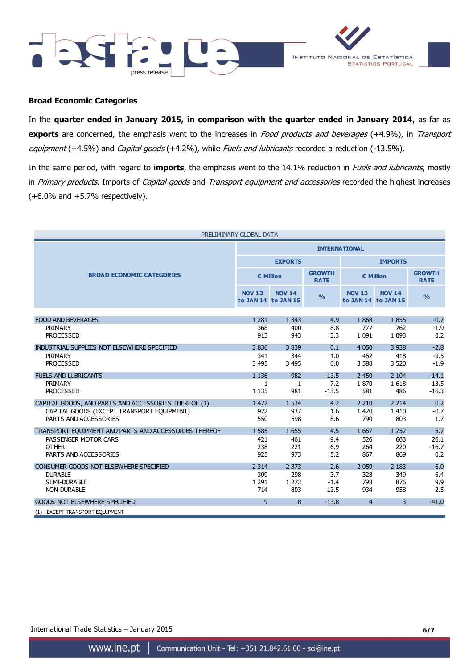



### **Broad Economic Categories**

In the **quarter ended in January 2015, in comparison with the quarter ended in January 2014**, as far as **exports** are concerned, the emphasis went to the increases in Food products and beverages (+4.9%), in Transport equipment (+4.5%) and Capital goods (+4.2%), while Fuels and lubricants recorded a reduction (-13.5%).

In the same period, with regard to **imports**, the emphasis went to the 14.1% reduction in Fuels and lubricants, mostly in Primary products. Imports of Capital goods and Transport equipment and accessories recorded the highest increases  $(+6.0\%$  and  $+5.7\%$  respectively).

| PRELIMINARY GLOBAL DATA                               |                |                                      |                              |                |                                      |                              |  |  |  |
|-------------------------------------------------------|----------------|--------------------------------------|------------------------------|----------------|--------------------------------------|------------------------------|--|--|--|
|                                                       |                | <b>INTERNATIONAL</b>                 |                              |                |                                      |                              |  |  |  |
|                                                       |                | <b>EXPORTS</b>                       |                              | <b>IMPORTS</b> |                                      |                              |  |  |  |
| <b>BROAD ECONOMIC CATEGORIES</b>                      |                | € Million                            | <b>GROWTH</b><br><b>RATE</b> |                | € Million                            | <b>GROWTH</b><br><b>RATE</b> |  |  |  |
|                                                       | <b>NOV 13</b>  | <b>NOV 14</b><br>to JAN 14 to JAN 15 | $\frac{9}{6}$                | <b>NOV 13</b>  | <b>NOV 14</b><br>to JAN 14 to JAN 15 | $\frac{0}{0}$                |  |  |  |
|                                                       |                |                                      |                              |                |                                      |                              |  |  |  |
| <b>FOOD AND BEVERAGES</b><br>PRIMARY                  | 1 2 8 1<br>368 | 1 3 4 3<br>400                       | 4.9                          | 1868<br>777    | 1855<br>762                          | $-0.7$                       |  |  |  |
| <b>PROCESSED</b>                                      | 913            | 943                                  | 8.8<br>3.3                   | 1 0 9 1        | 1 0 9 3                              | $-1.9$<br>0.2                |  |  |  |
|                                                       |                |                                      |                              |                |                                      |                              |  |  |  |
| INDUSTRIAL SUPPLIES NOT ELSEWHERE SPECIFIED           | 3836           | 3839                                 | 0.1                          | 4 0 5 0        | 3 9 3 8                              | $-2.8$                       |  |  |  |
| PRIMARY                                               | 341            | 344                                  | 1.0                          | 462            | 418                                  | $-9.5$                       |  |  |  |
| <b>PROCESSED</b>                                      | 3 4 9 5        | 3 4 9 5                              | 0.0                          | 3 5 8 8        | 3 5 20                               | $-1.9$                       |  |  |  |
| <b>FUELS AND LUBRICANTS</b>                           | 1 1 3 6        | 982                                  | $-13.5$                      | 2 4 5 0        | 2 1 0 4                              | $-14.1$                      |  |  |  |
| PRIMARY                                               | $\mathbf{1}$   | $\mathbf{1}$                         | $-7.2$                       | 1870           | 1618                                 | $-13.5$                      |  |  |  |
| <b>PROCESSED</b>                                      | 1 1 3 5        | 981                                  | $-13.5$                      | 581            | 486                                  | $-16.3$                      |  |  |  |
| CAPITAL GOODS, AND PARTS AND ACCESSORIES THEREOF (1)  | 1 472          | 1 5 3 4                              | 4.2                          | 2 2 1 0        | 2 2 1 4                              | 0.2                          |  |  |  |
| CAPITAL GOODS (EXCEPT TRANSPORT EQUIPMENT)            | 922            | 937                                  | 1.6                          | 1 4 2 0        | 1410                                 | $-0.7$                       |  |  |  |
| PARTS AND ACCESSORIES                                 | 550            | 598                                  | 8.6                          | 790            | 803                                  | 1.7                          |  |  |  |
| TRANSPORT EQUIPMENT AND PARTS AND ACCESSORIES THEREOF | 1 5 8 5        | 1655                                 | 4.5                          | 1 6 5 7        | 1752                                 | 5.7                          |  |  |  |
| PASSENGER MOTOR CARS                                  | 421            | 461                                  | 9.4                          | 526            | 663                                  | 26.1                         |  |  |  |
| <b>OTHER</b>                                          | 238            | 221                                  | $-6.9$                       | 264            | 220                                  | $-16.7$                      |  |  |  |
| PARTS AND ACCESSORIES                                 | 925            | 973                                  | 5.2                          | 867            | 869                                  | 0.2                          |  |  |  |
| CONSUMER GOODS NOT ELSEWHERE SPECIFIED                | 2 3 1 4        | 2 3 7 3                              | 2.6                          | 2 0 5 9        | 2 1 8 3                              | 6.0                          |  |  |  |
| <b>DURABLE</b>                                        | 309            | 298                                  | $-3.7$                       | 328            | 349                                  | 6.4                          |  |  |  |
| <b>SEMI-DURABLE</b>                                   | 1 2 9 1        | 1 2 7 2                              | $-1.4$                       | 798            | 876                                  | 9.9                          |  |  |  |
| <b>NON-DURABLE</b>                                    | 714            | 803                                  | 12.5                         | 934            | 958                                  | 2.5                          |  |  |  |
| <b>GOODS NOT ELSEWHERE SPECIFIED</b>                  | 9              | 8                                    | $-13.8$                      | $\overline{4}$ | 3                                    | $-41.0$                      |  |  |  |
| (1) - EXCEPT TRANSPORT EQUIPMENT                      |                |                                      |                              |                |                                      |                              |  |  |  |